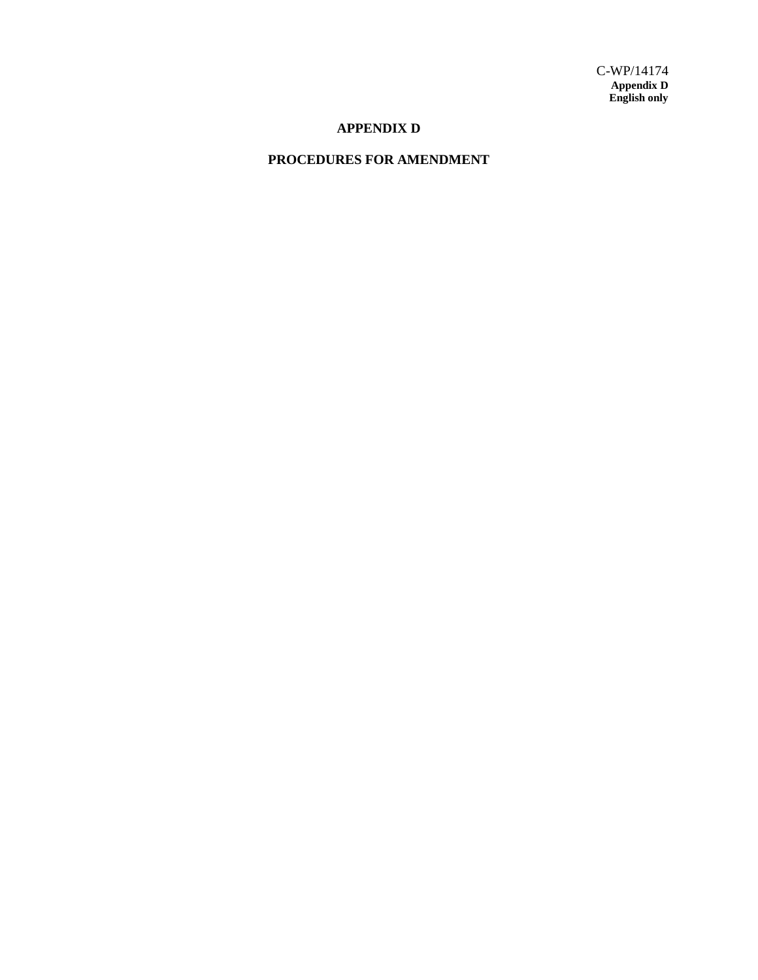### **APPENDIX D**

## **PROCEDURES FOR AMENDMENT**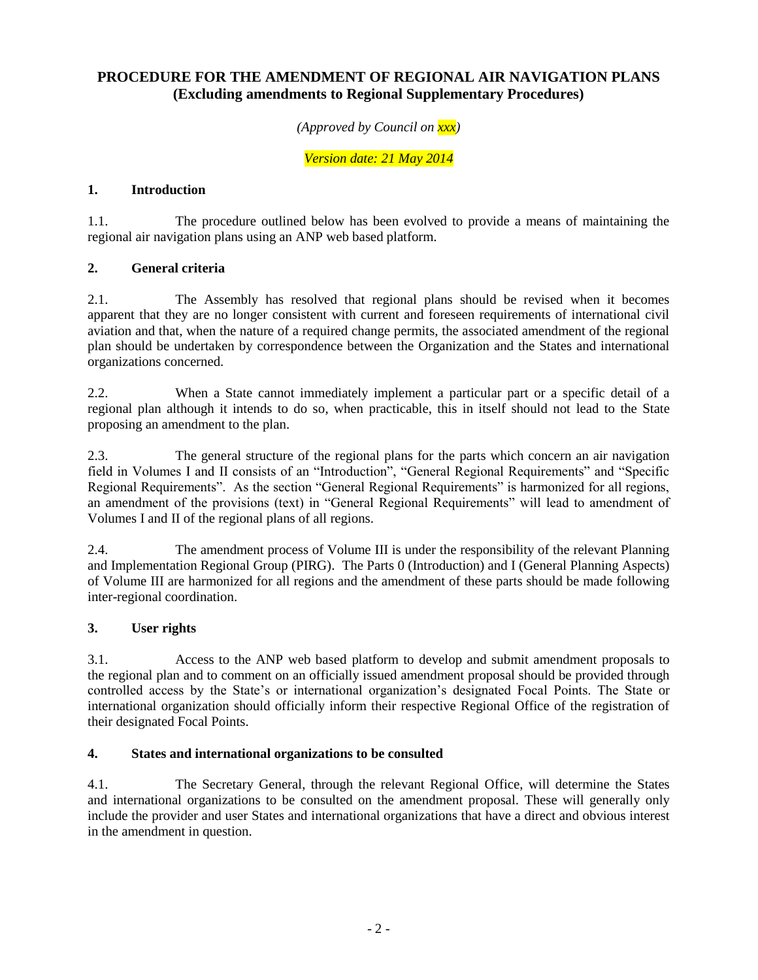# **PROCEDURE FOR THE AMENDMENT OF REGIONAL AIR NAVIGATION PLANS (Excluding amendments to Regional Supplementary Procedures)**

*(Approved by Council on xxx)*

*Version date: 21 May 2014*

## **1. Introduction**

1.1. The procedure outlined below has been evolved to provide a means of maintaining the regional air navigation plans using an ANP web based platform.

## **2. General criteria**

2.1. The Assembly has resolved that regional plans should be revised when it becomes apparent that they are no longer consistent with current and foreseen requirements of international civil aviation and that, when the nature of a required change permits, the associated amendment of the regional plan should be undertaken by correspondence between the Organization and the States and international organizations concerned.

2.2. When a State cannot immediately implement a particular part or a specific detail of a regional plan although it intends to do so, when practicable, this in itself should not lead to the State proposing an amendment to the plan.

2.3. The general structure of the regional plans for the parts which concern an air navigation field in Volumes I and II consists of an "Introduction", "General Regional Requirements" and "Specific Regional Requirements". As the section "General Regional Requirements" is harmonized for all regions, an amendment of the provisions (text) in "General Regional Requirements" will lead to amendment of Volumes I and II of the regional plans of all regions.

2.4. The amendment process of Volume III is under the responsibility of the relevant Planning and Implementation Regional Group (PIRG). The Parts 0 (Introduction) and I (General Planning Aspects) of Volume III are harmonized for all regions and the amendment of these parts should be made following inter-regional coordination.

#### **3. User rights**

3.1. Access to the ANP web based platform to develop and submit amendment proposals to the regional plan and to comment on an officially issued amendment proposal should be provided through controlled access by the State's or international organization's designated Focal Points. The State or international organization should officially inform their respective Regional Office of the registration of their designated Focal Points.

#### **4. States and international organizations to be consulted**

4.1. The Secretary General, through the relevant Regional Office, will determine the States and international organizations to be consulted on the amendment proposal. These will generally only include the provider and user States and international organizations that have a direct and obvious interest in the amendment in question.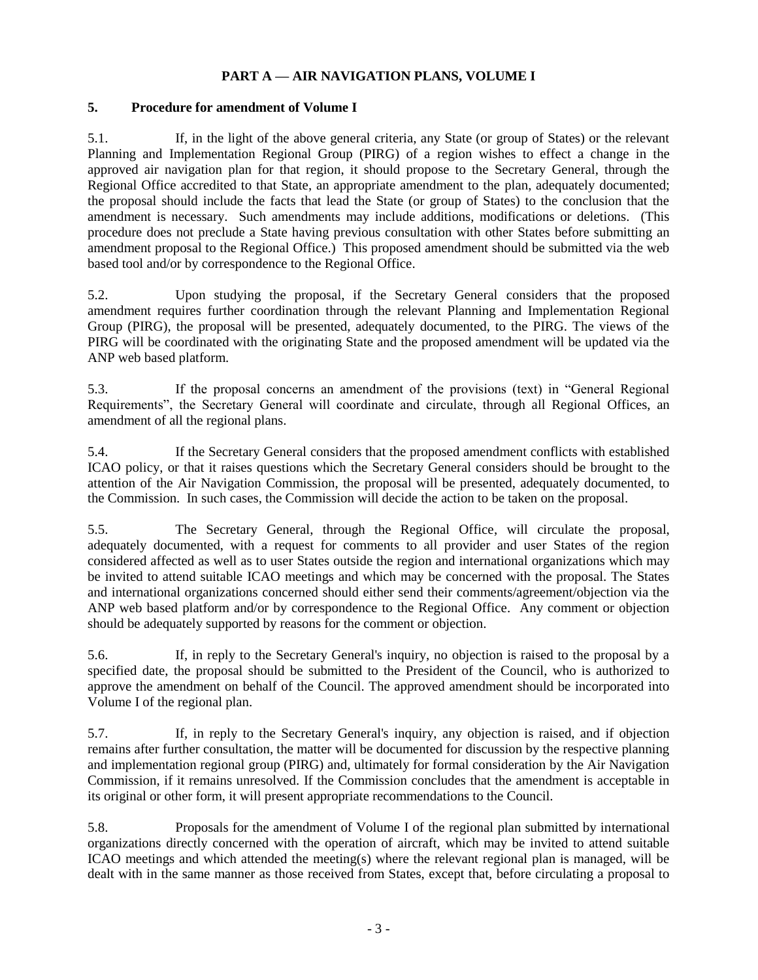### **PART A — AIR NAVIGATION PLANS, VOLUME I**

#### **5. Procedure for amendment of Volume I**

5.1. If, in the light of the above general criteria, any State (or group of States) or the relevant Planning and Implementation Regional Group (PIRG) of a region wishes to effect a change in the approved air navigation plan for that region, it should propose to the Secretary General, through the Regional Office accredited to that State, an appropriate amendment to the plan, adequately documented; the proposal should include the facts that lead the State (or group of States) to the conclusion that the amendment is necessary. Such amendments may include additions, modifications or deletions. (This procedure does not preclude a State having previous consultation with other States before submitting an amendment proposal to the Regional Office.) This proposed amendment should be submitted via the web based tool and/or by correspondence to the Regional Office.

5.2. Upon studying the proposal, if the Secretary General considers that the proposed amendment requires further coordination through the relevant Planning and Implementation Regional Group (PIRG), the proposal will be presented, adequately documented, to the PIRG. The views of the PIRG will be coordinated with the originating State and the proposed amendment will be updated via the ANP web based platform.

5.3. If the proposal concerns an amendment of the provisions (text) in "General Regional Requirements", the Secretary General will coordinate and circulate, through all Regional Offices, an amendment of all the regional plans.

5.4. If the Secretary General considers that the proposed amendment conflicts with established ICAO policy, or that it raises questions which the Secretary General considers should be brought to the attention of the Air Navigation Commission, the proposal will be presented, adequately documented, to the Commission. In such cases, the Commission will decide the action to be taken on the proposal.

5.5. The Secretary General, through the Regional Office, will circulate the proposal, adequately documented, with a request for comments to all provider and user States of the region considered affected as well as to user States outside the region and international organizations which may be invited to attend suitable ICAO meetings and which may be concerned with the proposal. The States and international organizations concerned should either send their comments/agreement/objection via the ANP web based platform and/or by correspondence to the Regional Office. Any comment or objection should be adequately supported by reasons for the comment or objection.

5.6. If, in reply to the Secretary General's inquiry, no objection is raised to the proposal by a specified date, the proposal should be submitted to the President of the Council, who is authorized to approve the amendment on behalf of the Council. The approved amendment should be incorporated into Volume I of the regional plan.

5.7. If, in reply to the Secretary General's inquiry, any objection is raised, and if objection remains after further consultation, the matter will be documented for discussion by the respective planning and implementation regional group (PIRG) and, ultimately for formal consideration by the Air Navigation Commission, if it remains unresolved. If the Commission concludes that the amendment is acceptable in its original or other form, it will present appropriate recommendations to the Council.

5.8. Proposals for the amendment of Volume I of the regional plan submitted by international organizations directly concerned with the operation of aircraft, which may be invited to attend suitable ICAO meetings and which attended the meeting(s) where the relevant regional plan is managed, will be dealt with in the same manner as those received from States, except that, before circulating a proposal to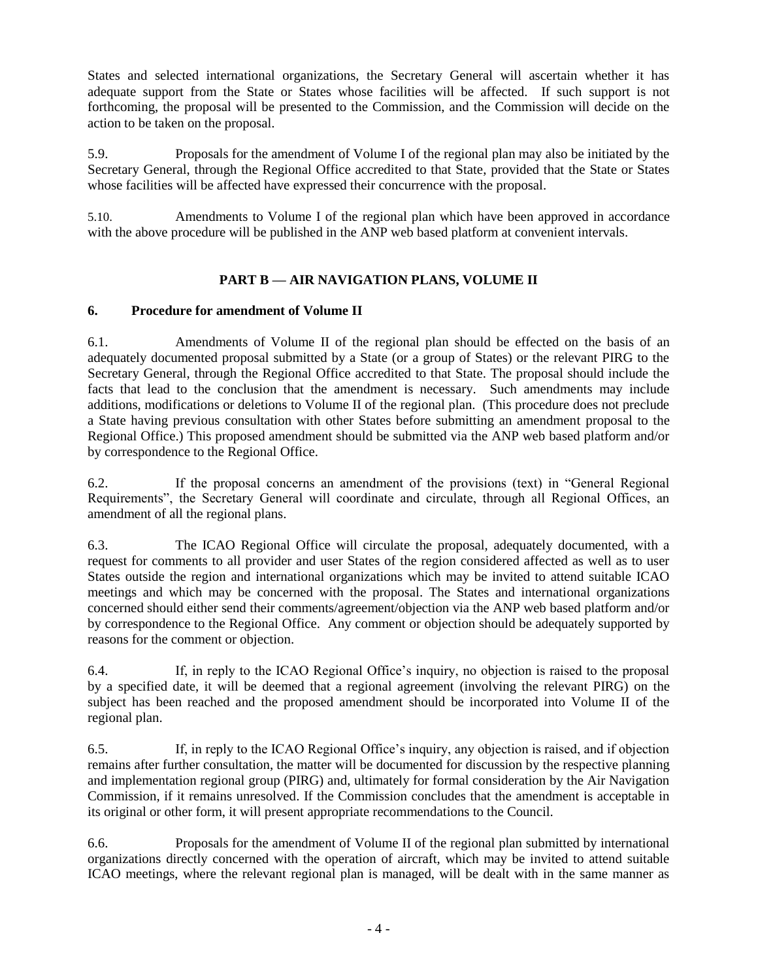States and selected international organizations, the Secretary General will ascertain whether it has adequate support from the State or States whose facilities will be affected. If such support is not forthcoming, the proposal will be presented to the Commission, and the Commission will decide on the action to be taken on the proposal.

5.9. Proposals for the amendment of Volume I of the regional plan may also be initiated by the Secretary General, through the Regional Office accredited to that State, provided that the State or States whose facilities will be affected have expressed their concurrence with the proposal.

5.10. Amendments to Volume I of the regional plan which have been approved in accordance with the above procedure will be published in the ANP web based platform at convenient intervals.

# **PART B — AIR NAVIGATION PLANS, VOLUME II**

### **6. Procedure for amendment of Volume II**

6.1. Amendments of Volume II of the regional plan should be effected on the basis of an adequately documented proposal submitted by a State (or a group of States) or the relevant PIRG to the Secretary General, through the Regional Office accredited to that State. The proposal should include the facts that lead to the conclusion that the amendment is necessary. Such amendments may include additions, modifications or deletions to Volume II of the regional plan. (This procedure does not preclude a State having previous consultation with other States before submitting an amendment proposal to the Regional Office.) This proposed amendment should be submitted via the ANP web based platform and/or by correspondence to the Regional Office.

6.2. If the proposal concerns an amendment of the provisions (text) in "General Regional Requirements", the Secretary General will coordinate and circulate, through all Regional Offices, an amendment of all the regional plans.

6.3. The ICAO Regional Office will circulate the proposal, adequately documented, with a request for comments to all provider and user States of the region considered affected as well as to user States outside the region and international organizations which may be invited to attend suitable ICAO meetings and which may be concerned with the proposal. The States and international organizations concerned should either send their comments/agreement/objection via the ANP web based platform and/or by correspondence to the Regional Office. Any comment or objection should be adequately supported by reasons for the comment or objection.

6.4. If, in reply to the ICAO Regional Office's inquiry, no objection is raised to the proposal by a specified date, it will be deemed that a regional agreement (involving the relevant PIRG) on the subject has been reached and the proposed amendment should be incorporated into Volume II of the regional plan.

6.5. If, in reply to the ICAO Regional Office's inquiry, any objection is raised, and if objection remains after further consultation, the matter will be documented for discussion by the respective planning and implementation regional group (PIRG) and, ultimately for formal consideration by the Air Navigation Commission, if it remains unresolved. If the Commission concludes that the amendment is acceptable in its original or other form, it will present appropriate recommendations to the Council.

6.6. Proposals for the amendment of Volume II of the regional plan submitted by international organizations directly concerned with the operation of aircraft, which may be invited to attend suitable ICAO meetings, where the relevant regional plan is managed, will be dealt with in the same manner as